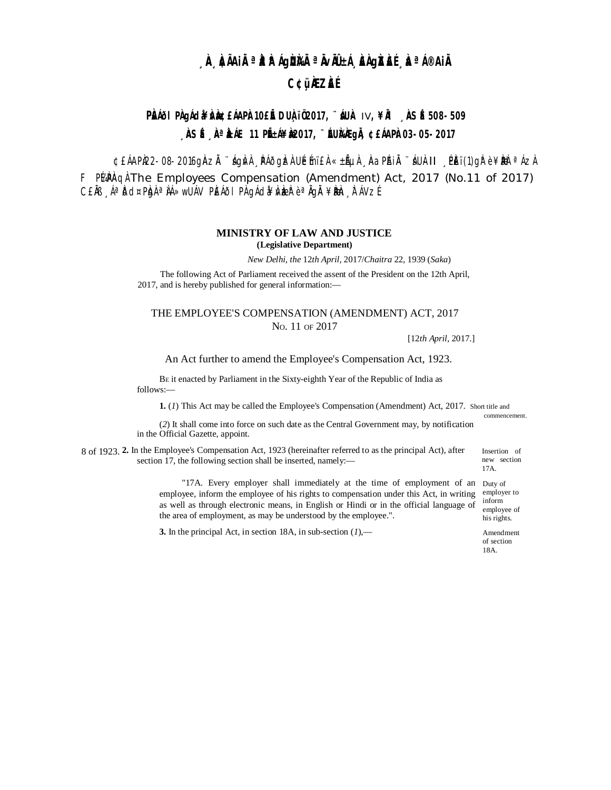# **À À**iai**˻ÀÀÀIgÙÀÀªÀvià±í, ÀÀgÀÀE, ÀªI®AiÀ C¢üÀZÀÉ**

# PRIOI PRIACLA ABREARPAIOE E DUAIO2017, AUA IV, ¥R ASE 508-509  $\hat{A}$ SÉ  $\hat{A}$ <sup>a</sup> $\hat{A}$ ále 11 pién¥ $\hat{A}$ 2017,  $\hat{B}$ in $\hat{A}$ agià ¢£hap $\hat{A}$ 03-05-2017

¢£ÁAPÌ22-08-2016gìAzÌ "ÁgÌvì PÁÕgÌzì UÉmï£ì «±Ãµì ÀaPÁiÌ "ÁUì II PÈï(1)gì è ¥È a Ázì F PLARA The Employees Compensation (Amendment) Act, 2017 (No.11 of 2017) CENI ÁªDO¤PLONªNÁ»WUÁV PLÁÕI PLO GÁCLO¥N LEZP èªNGL ¥DLLON TÁVZÍ

### **MINISTRY OF LAW AND JUSTICE**

(Legislative Department)

New Delhi, the 12th April, 2017/Chaitra 22, 1939 (Saka)

The following Act of Parliament received the assent of the President on the 12th April, 2017, and is hereby published for general information:-

# THE EMPLOYEE'S COMPENSATION (AMENDMENT) ACT, 2017 No. 11 OF 2017

 $[12th$  April, 2017.]

An Act further to amend the Employee's Compensation Act, 1923.

BE it enacted by Parliament in the Sixty-eighth Year of the Republic of India as follows:-

1. (1) This Act may be called the Employee's Compensation (Amendment) Act, 2017. Short title and

(2) It shall come into force on such date as the Central Government may, by notification in the Official Gazette, appoint.

8 of 1923. 2. In the Employee's Compensation Act, 1923 (hereinafter referred to as the principal Act), after section 17, the following section shall be inserted, namely:-

> "17A. Every employer shall immediately at the time of employment of an Duty of employee, inform the employee of his rights to compensation under this Act, in writing employer to as well as through electronic means, in English or Hindi or in the official language of employee of the area of employment, as may be understood by the employee.". his rights.

3. In the principal Act, in section 18A, in sub-section  $(I)$ ,—

17A. inform

Insertion of

new section

commencement.

Amendment of section 18A.